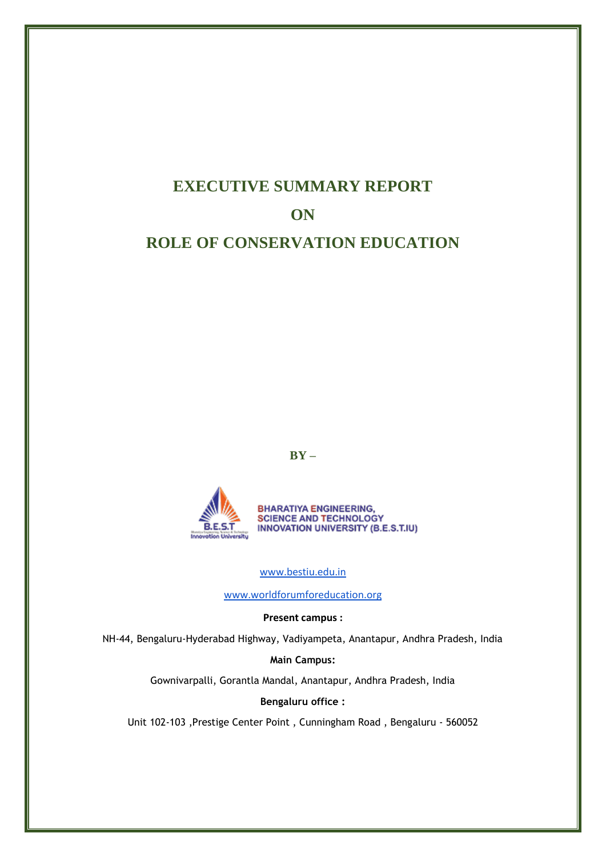# **EXECUTIVE SUMMARY REPORT ON ROLE OF CONSERVATION EDUCATION**

**BY –**



[www.bestiu.edu.in](http://www.bestiu.edu.in/)

[www.worldforumforeducation.org](http://www.worldforumforeducation.org/)

**Present campus :**

NH-44, Bengaluru-Hyderabad Highway, Vadiyampeta, Anantapur, Andhra Pradesh, India

**Main Campus:**

Gownivarpalli, Gorantla Mandal, Anantapur, Andhra Pradesh, India

**Bengaluru office :**

Unit 102-103 ,Prestige Center Point , Cunningham Road , Bengaluru - 560052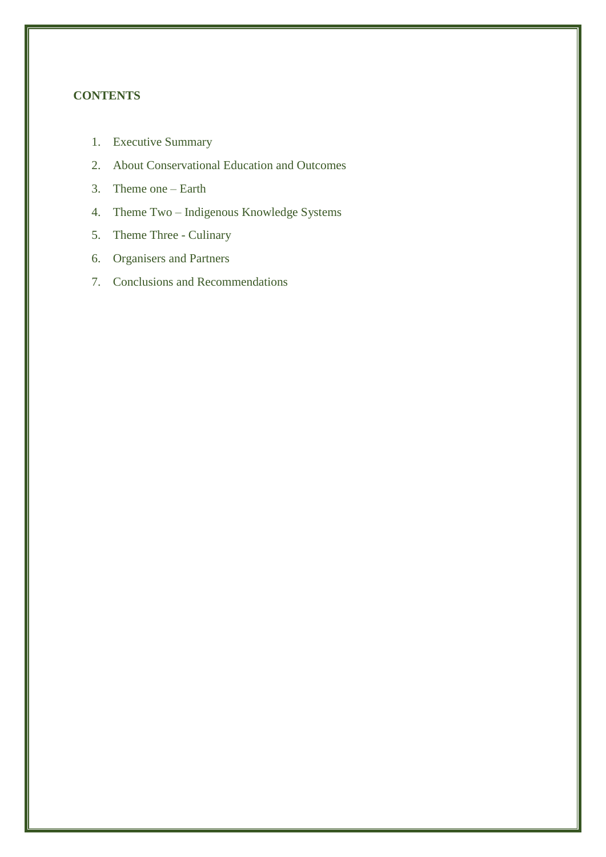# **CONTENTS**

- 1. Executive Summary
- 2. About Conservational Education and Outcomes
- 3. Theme one Earth
- 4. Theme Two Indigenous Knowledge Systems
- 5. Theme Three Culinary
- 6. Organisers and Partners
- 7. Conclusions and Recommendations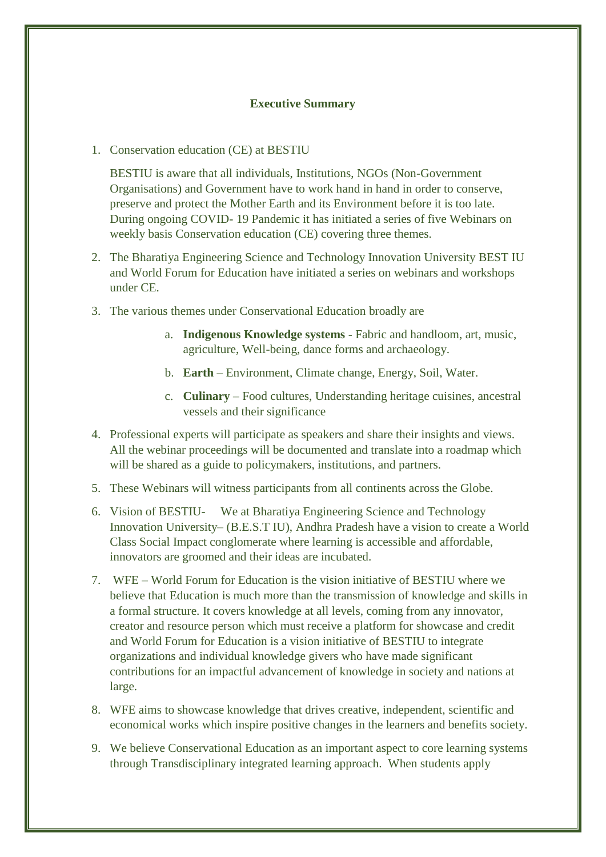## **Executive Summary**

1. Conservation education (CE) at BESTIU

BESTIU is aware that all individuals, Institutions, NGOs (Non-Government Organisations) and Government have to work hand in hand in order to conserve, preserve and protect the Mother Earth and its Environment before it is too late. During ongoing COVID- 19 Pandemic it has initiated a series of five Webinars on weekly basis Conservation education (CE) covering three themes.

- 2. The Bharatiya Engineering Science and Technology Innovation University BEST IU and World Forum for Education have initiated a series on webinars and workshops under CE.
- 3. The various themes under Conservational Education broadly are
	- a. **Indigenous Knowledge systems** Fabric and handloom, art, music, agriculture, Well-being, dance forms and archaeology.
	- b. **Earth** Environment, Climate change, Energy, Soil, Water.
	- c. **Culinary**  Food cultures, Understanding heritage cuisines, ancestral vessels and their significance
- 4. Professional experts will participate as speakers and share their insights and views. All the webinar proceedings will be documented and translate into a roadmap which will be shared as a guide to policymakers, institutions, and partners.
- 5. These Webinars will witness participants from all continents across the Globe.
- 6. Vision of BESTIU- We at Bharatiya Engineering Science and Technology Innovation University– (B.E.S.T IU), Andhra Pradesh have a vision to create a World Class Social Impact conglomerate where learning is accessible and affordable, innovators are groomed and their ideas are incubated.
- 7. WFE World Forum for Education is the vision initiative of BESTIU where we believe that Education is much more than the transmission of knowledge and skills in a formal structure. It covers knowledge at all levels, coming from any innovator, creator and resource person which must receive a platform for showcase and credit and World Forum for Education is a vision initiative of BESTIU to integrate organizations and individual knowledge givers who have made significant contributions for an impactful advancement of knowledge in society and nations at large.
- 8. WFE aims to showcase knowledge that drives creative, independent, scientific and economical works which inspire positive changes in the learners and benefits society.
- 9. We believe Conservational Education as an important aspect to core learning systems through Transdisciplinary integrated learning approach. When students apply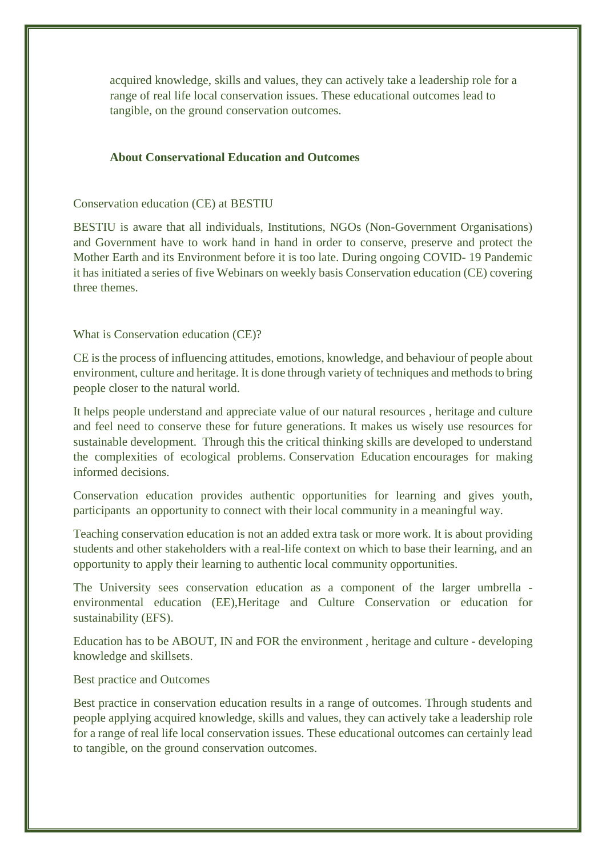acquired knowledge, skills and values, they can actively take a leadership role for a range of real life local conservation issues. These educational outcomes lead to tangible, on the ground conservation outcomes.

## **About Conservational Education and Outcomes**

#### Conservation education (CE) at BESTIU

BESTIU is aware that all individuals, Institutions, NGOs (Non-Government Organisations) and Government have to work hand in hand in order to conserve, preserve and protect the Mother Earth and its Environment before it is too late. During ongoing COVID- 19 Pandemic it has initiated a series of five Webinars on weekly basis Conservation education (CE) covering three themes.

#### What is Conservation education (CE)?

CE is the process of influencing attitudes, emotions, knowledge, and behaviour of people about environment, culture and heritage. It is done through variety of techniques and methods to bring people closer to the natural world.

It helps people understand and appreciate value of our natural resources , heritage and culture and feel need to conserve these for future generations. It makes us wisely use resources for sustainable development. Through this the critical thinking skills are developed to understand the complexities of ecological problems. Conservation Education encourages for making informed decisions.

Conservation education provides authentic opportunities for learning and gives youth, participants an opportunity to connect with their local community in a meaningful way.

Teaching conservation education is not an added extra task or more work. It is about providing students and other stakeholders with a real-life context on which to base their learning, and an opportunity to apply their learning to authentic local community opportunities.

The University sees conservation education as a component of the larger umbrella environmental education (EE),Heritage and Culture Conservation or education for sustainability (EFS).

Education has to be ABOUT, IN and FOR the environment , heritage and culture - developing knowledge and skillsets.

#### Best practice and Outcomes

Best practice in conservation education results in a range of outcomes. Through students and people applying acquired knowledge, skills and values, they can actively take a leadership role for a range of real life local conservation issues. These educational outcomes can certainly lead to tangible, on the ground conservation outcomes.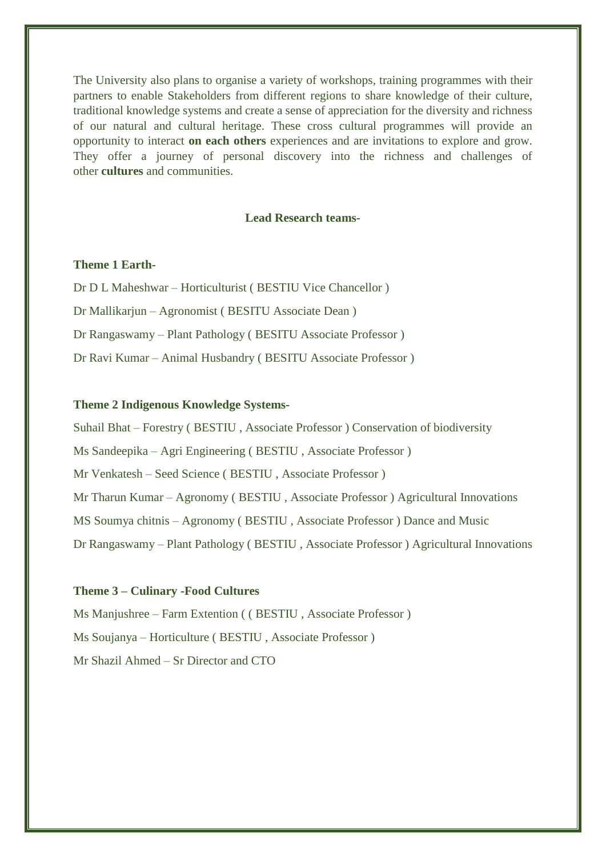The University also plans to organise a variety of workshops, training programmes with their partners to enable Stakeholders from different regions to share knowledge of their culture, traditional knowledge systems and create a sense of appreciation for the diversity and richness of our natural and cultural heritage. These cross cultural programmes will provide an opportunity to interact **on each others** experiences and are invitations to explore and grow. They offer a journey of personal discovery into the richness and challenges of other **cultures** and communities.

## **Lead Research teams-**

## **Theme 1 Earth-**

Dr D L Maheshwar – Horticulturist ( BESTIU Vice Chancellor ) Dr Mallikarjun – Agronomist ( BESITU Associate Dean ) Dr Rangaswamy – Plant Pathology ( BESITU Associate Professor ) Dr Ravi Kumar – Animal Husbandry ( BESITU Associate Professor )

## **Theme 2 Indigenous Knowledge Systems-**

Suhail Bhat – Forestry ( BESTIU , Associate Professor ) Conservation of biodiversity Ms Sandeepika – Agri Engineering ( BESTIU , Associate Professor ) Mr Venkatesh – Seed Science ( BESTIU , Associate Professor ) Mr Tharun Kumar – Agronomy ( BESTIU , Associate Professor ) Agricultural Innovations MS Soumya chitnis – Agronomy ( BESTIU , Associate Professor ) Dance and Music Dr Rangaswamy – Plant Pathology ( BESTIU , Associate Professor ) Agricultural Innovations

#### **Theme 3 – Culinary -Food Cultures**

Ms Manjushree – Farm Extention ( ( BESTIU , Associate Professor ) Ms Soujanya – Horticulture ( BESTIU , Associate Professor ) Mr Shazil Ahmed – Sr Director and CTO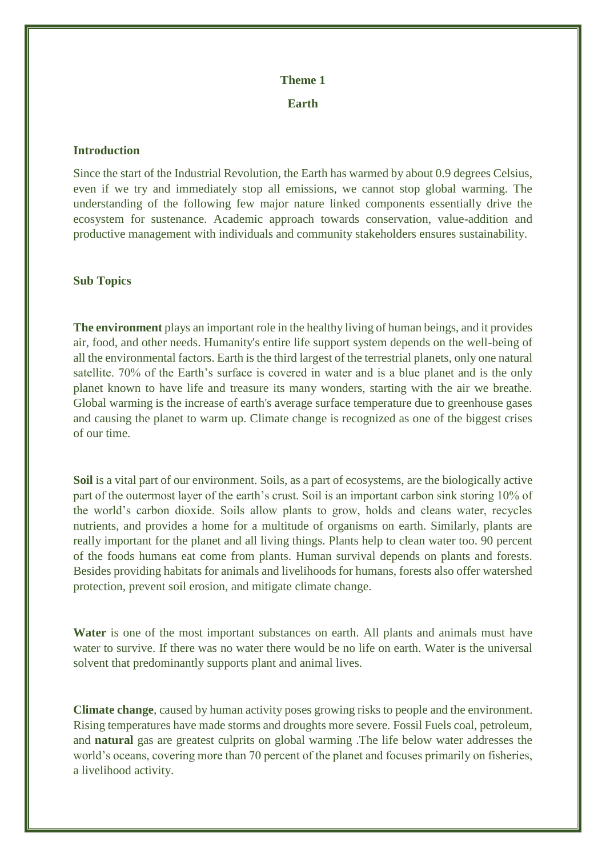# **Theme 1**

**Earth**

## **Introduction**

Since the start of the Industrial Revolution, the Earth has warmed by about 0.9 degrees Celsius, even if we try and immediately stop all emissions, we cannot stop global warming. The understanding of the following few major nature linked components essentially drive the ecosystem for sustenance. Academic approach towards conservation, value-addition and productive management with individuals and community stakeholders ensures sustainability.

## **Sub Topics**

**The environment** plays an important role in the healthy living of human beings, and it provides air, food, and other needs. Humanity's entire life support system depends on the well-being of all the environmental factors. Earth is the third largest of the terrestrial planets, only one natural satellite. 70% of the Earth's surface is covered in water and is a blue planet and is the only planet known to have life and treasure its many wonders, starting with the air we breathe. Global warming is the increase of earth's average surface temperature due to greenhouse gases and causing the planet to warm up. Climate change is recognized as one of the biggest crises of our time.

**Soil** is a vital part of our environment. Soils, as a part of ecosystems, are the biologically active part of the outermost layer of the earth's crust. Soil is an important carbon sink storing 10% of the world's carbon dioxide. Soils allow plants to grow, holds and cleans water, recycles nutrients, and provides a home for a multitude of organisms on earth. Similarly, plants are really important for the planet and all living things. Plants help to clean water too. 90 percent of the foods humans eat come from plants. Human survival depends on plants and forests. Besides providing habitats for animals and livelihoods for humans, forests also offer watershed protection, prevent soil erosion, and mitigate climate change.

**Water** is one of the most important substances on earth. All plants and animals must have water to survive. If there was no water there would be no life on earth. Water is the universal solvent that predominantly supports plant and animal lives.

**Climate change**, caused by human activity poses growing risks to people and the environment. Rising temperatures have made storms and droughts more severe. Fossil Fuels coal, petroleum, and **natural** gas are greatest culprits on global warming .The life below water addresses the world's oceans, covering more than 70 percent of the planet and focuses primarily on fisheries, a livelihood activity.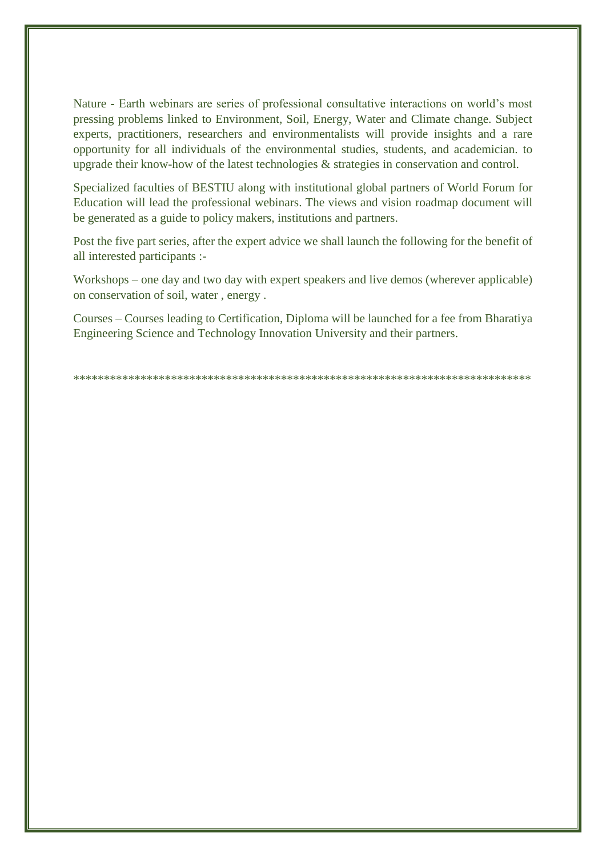Nature **-** Earth webinars are series of professional consultative interactions on world's most pressing problems linked to Environment, Soil, Energy, Water and Climate change. Subject experts, practitioners, researchers and environmentalists will provide insights and a rare opportunity for all individuals of the environmental studies, students, and academician. to upgrade their know-how of the latest technologies & strategies in conservation and control.

Specialized faculties of BESTIU along with institutional global partners of World Forum for Education will lead the professional webinars. The views and vision roadmap document will be generated as a guide to policy makers, institutions and partners.

Post the five part series, after the expert advice we shall launch the following for the benefit of all interested participants :-

Workshops – one day and two day with expert speakers and live demos (wherever applicable) on conservation of soil, water , energy .

Courses – Courses leading to Certification, Diploma will be launched for a fee from Bharatiya Engineering Science and Technology Innovation University and their partners.

\*\*\*\*\*\*\*\*\*\*\*\*\*\*\*\*\*\*\*\*\*\*\*\*\*\*\*\*\*\*\*\*\*\*\*\*\*\*\*\*\*\*\*\*\*\*\*\*\*\*\*\*\*\*\*\*\*\*\*\*\*\*\*\*\*\*\*\*\*\*\*\*\*\*\*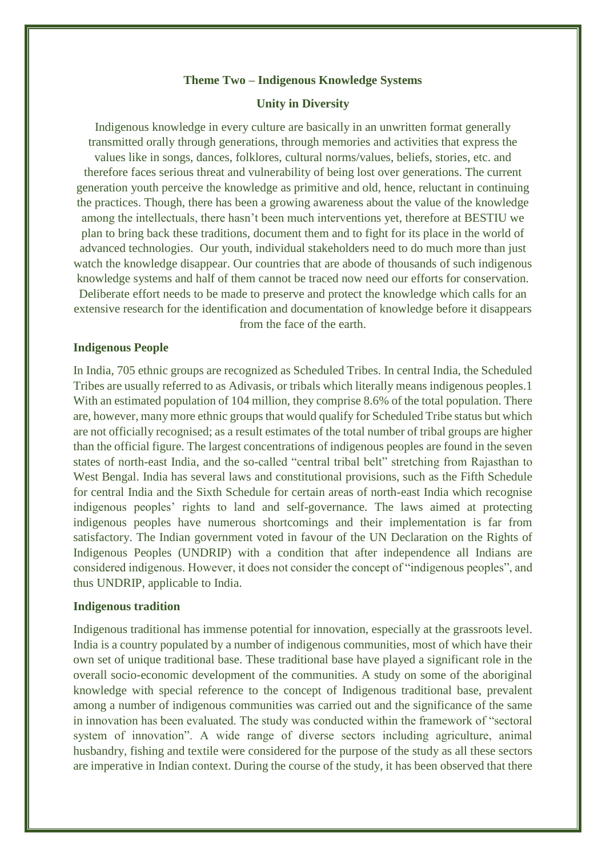#### **Theme Two – Indigenous Knowledge Systems**

## **Unity in Diversity**

Indigenous knowledge in every culture are basically in an unwritten format generally transmitted orally through generations, through memories and activities that express the values like in songs, dances, folklores, cultural norms/values, beliefs, stories, etc. and therefore faces serious threat and vulnerability of being lost over generations. The current generation youth perceive the knowledge as primitive and old, hence, reluctant in continuing the practices. Though, there has been a growing awareness about the value of the knowledge among the intellectuals, there hasn't been much interventions yet, therefore at BESTIU we plan to bring back these traditions, document them and to fight for its place in the world of advanced technologies. Our youth, individual stakeholders need to do much more than just watch the knowledge disappear. Our countries that are abode of thousands of such indigenous knowledge systems and half of them cannot be traced now need our efforts for conservation. Deliberate effort needs to be made to preserve and protect the knowledge which calls for an extensive research for the identification and documentation of knowledge before it disappears from the face of the earth.

#### **Indigenous People**

In India, 705 ethnic groups are recognized as Scheduled Tribes. In central India, the Scheduled Tribes are usually referred to as Adivasis, or tribals which literally means indigenous peoples.1 With an estimated population of 104 million, they comprise 8.6% of the total population. There are, however, many more ethnic groups that would qualify for Scheduled Tribe status but which are not officially recognised; as a result estimates of the total number of tribal groups are higher than the official figure. The largest concentrations of indigenous peoples are found in the seven states of north-east India, and the so-called "central tribal belt" stretching from Rajasthan to West Bengal. India has several laws and constitutional provisions, such as the Fifth Schedule for central India and the Sixth Schedule for certain areas of north-east India which recognise indigenous peoples' rights to land and self-governance. The laws aimed at protecting indigenous peoples have numerous shortcomings and their implementation is far from satisfactory. The Indian government voted in favour of the UN Declaration on the Rights of Indigenous Peoples (UNDRIP) with a condition that after independence all Indians are considered indigenous. However, it does not consider the concept of "indigenous peoples", and thus UNDRIP, applicable to India.

#### **Indigenous tradition**

Indigenous traditional has immense potential for innovation, especially at the grassroots level. India is a country populated by a number of indigenous communities, most of which have their own set of unique traditional base. These traditional base have played a significant role in the overall socio-economic development of the communities. A study on some of the aboriginal knowledge with special reference to the concept of Indigenous traditional base, prevalent among a number of indigenous communities was carried out and the significance of the same in innovation has been evaluated. The study was conducted within the framework of "sectoral system of innovation". A wide range of diverse sectors including agriculture, animal husbandry, fishing and textile were considered for the purpose of the study as all these sectors are imperative in Indian context. During the course of the study, it has been observed that there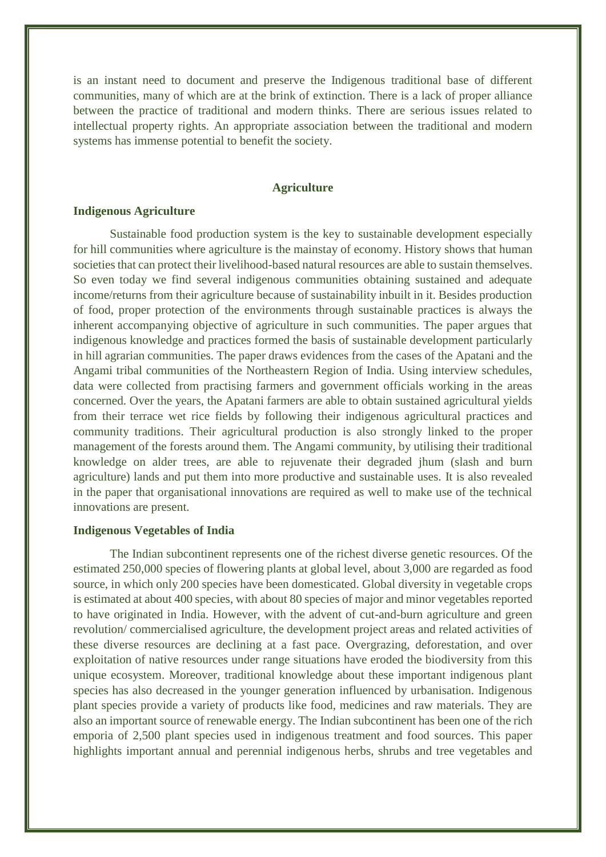is an instant need to document and preserve the Indigenous traditional base of different communities, many of which are at the brink of extinction. There is a lack of proper alliance between the practice of traditional and modern thinks. There are serious issues related to intellectual property rights. An appropriate association between the traditional and modern systems has immense potential to benefit the society.

## **Agriculture**

## **Indigenous Agriculture**

Sustainable food production system is the key to sustainable development especially for hill communities where agriculture is the mainstay of economy. History shows that human societies that can protect their livelihood-based natural resources are able to sustain themselves. So even today we find several indigenous communities obtaining sustained and adequate income/returns from their agriculture because of sustainability inbuilt in it. Besides production of food, proper protection of the environments through sustainable practices is always the inherent accompanying objective of agriculture in such communities. The paper argues that indigenous knowledge and practices formed the basis of sustainable development particularly in hill agrarian communities. The paper draws evidences from the cases of the Apatani and the Angami tribal communities of the Northeastern Region of India. Using interview schedules, data were collected from practising farmers and government officials working in the areas concerned. Over the years, the Apatani farmers are able to obtain sustained agricultural yields from their terrace wet rice fields by following their indigenous agricultural practices and community traditions. Their agricultural production is also strongly linked to the proper management of the forests around them. The Angami community, by utilising their traditional knowledge on alder trees, are able to rejuvenate their degraded jhum (slash and burn agriculture) lands and put them into more productive and sustainable uses. It is also revealed in the paper that organisational innovations are required as well to make use of the technical innovations are present.

## **Indigenous Vegetables of India**

The Indian subcontinent represents one of the richest diverse genetic resources. Of the estimated 250,000 species of flowering plants at global level, about 3,000 are regarded as food source, in which only 200 species have been domesticated. Global diversity in vegetable crops is estimated at about 400 species, with about 80 species of major and minor vegetables reported to have originated in India. However, with the advent of cut-and-burn agriculture and green revolution/ commercialised agriculture, the development project areas and related activities of these diverse resources are declining at a fast pace. Overgrazing, deforestation, and over exploitation of native resources under range situations have eroded the biodiversity from this unique ecosystem. Moreover, traditional knowledge about these important indigenous plant species has also decreased in the younger generation influenced by urbanisation. Indigenous plant species provide a variety of products like food, medicines and raw materials. They are also an important source of renewable energy. The Indian subcontinent has been one of the rich emporia of 2,500 plant species used in indigenous treatment and food sources. This paper highlights important annual and perennial indigenous herbs, shrubs and tree vegetables and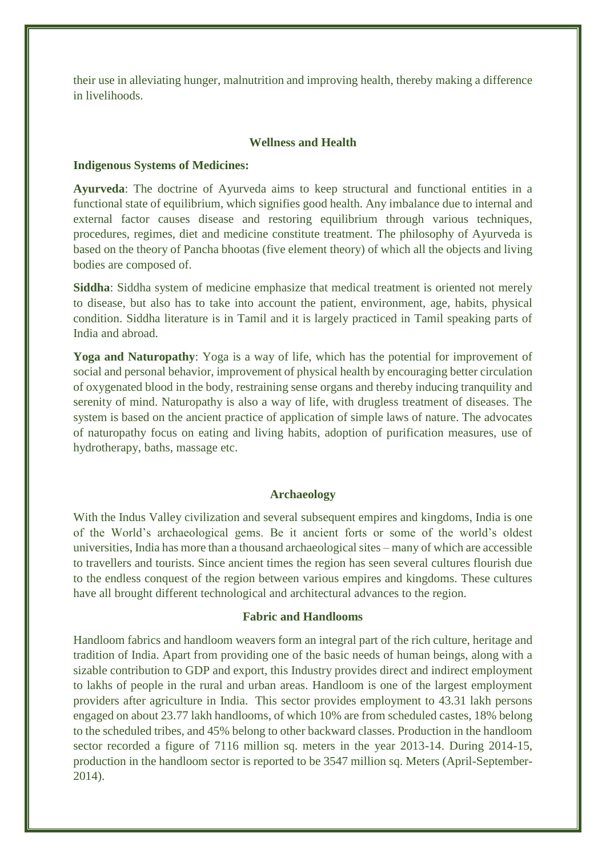their use in alleviating hunger, malnutrition and improving health, thereby making a difference in livelihoods.

## **Wellness and Health**

#### **Indigenous Systems of Medicines:**

**Ayurveda**: The doctrine of Ayurveda aims to keep structural and functional entities in a functional state of equilibrium, which signifies good health. Any imbalance due to internal and external factor causes disease and restoring equilibrium through various techniques, procedures, regimes, diet and medicine constitute treatment. The philosophy of Ayurveda is based on the theory of Pancha bhootas (five element theory) of which all the objects and living bodies are composed of.

**Siddha**: Siddha system of medicine emphasize that medical treatment is oriented not merely to disease, but also has to take into account the patient, environment, age, habits, physical condition. Siddha literature is in Tamil and it is largely practiced in Tamil speaking parts of India and abroad.

**Yoga and Naturopathy**: Yoga is a way of life, which has the potential for improvement of social and personal behavior, improvement of physical health by encouraging better circulation of oxygenated blood in the body, restraining sense organs and thereby inducing tranquility and serenity of mind. Naturopathy is also a way of life, with drugless treatment of diseases. The system is based on the ancient practice of application of simple laws of nature. The advocates of naturopathy focus on eating and living habits, adoption of purification measures, use of hydrotherapy, baths, massage etc.

## **Archaeology**

With the Indus Valley civilization and several subsequent empires and kingdoms, India is one of the World's archaeological gems. Be it ancient forts or some of the world's oldest universities, India has more than a thousand archaeological sites – many of which are accessible to travellers and tourists. Since ancient times the region has seen several cultures flourish due to the endless conquest of the region between various empires and kingdoms. These cultures have all brought different technological and architectural advances to the region.

#### **Fabric and Handlooms**

Handloom fabrics and handloom weavers form an integral part of the rich culture, heritage and tradition of India. Apart from providing one of the basic needs of human beings, along with a sizable contribution to GDP and export, this Industry provides direct and indirect employment to lakhs of people in the rural and urban areas. Handloom is one of the largest employment providers after agriculture in India. This sector provides employment to 43.31 lakh persons engaged on about 23.77 lakh handlooms, of which 10% are from scheduled castes, 18% belong to the scheduled tribes, and 45% belong to other backward classes. Production in the handloom sector recorded a figure of 7116 million sq. meters in the year 2013-14. During 2014-15, production in the handloom sector is reported to be 3547 million sq. Meters (April-September-2014).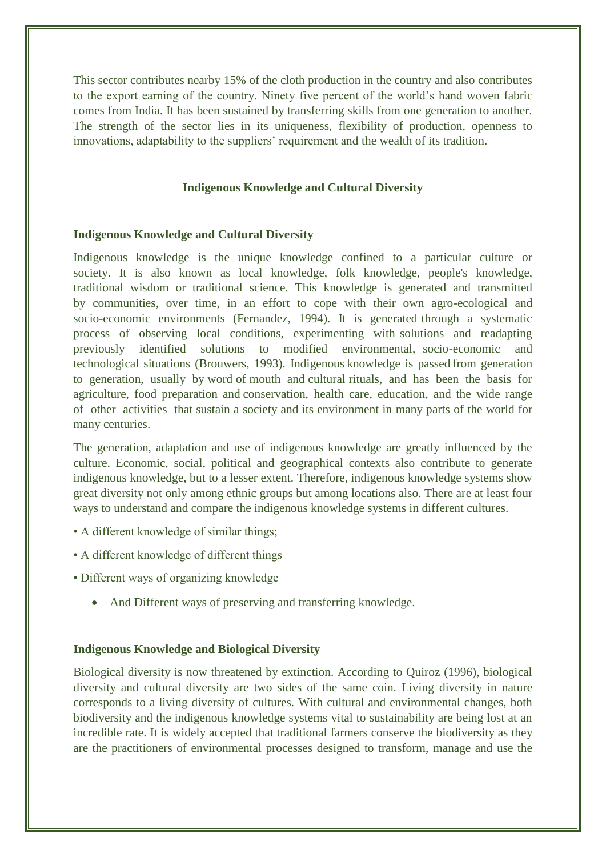This sector contributes nearby 15% of the cloth production in the country and also contributes to the export earning of the country. Ninety five percent of the world's hand woven fabric comes from India. It has been sustained by transferring skills from one generation to another. The strength of the sector lies in its uniqueness, flexibility of production, openness to innovations, adaptability to the suppliers' requirement and the wealth of its tradition.

## **Indigenous Knowledge and Cultural Diversity**

## **Indigenous Knowledge and Cultural Diversity**

Indigenous knowledge is the unique knowledge confined to a particular culture or society. It is also known as local knowledge, folk knowledge, people's knowledge, traditional wisdom or traditional science. This knowledge is generated and transmitted by communities, over time, in an effort to cope with their own agro-ecological and socio-economic environments (Fernandez, 1994). It is generated through a systematic process of observing local conditions, experimenting with solutions and readapting previously identified solutions to modified environmental, socio-economic and technological situations (Brouwers, 1993). Indigenous knowledge is passed from generation to generation, usually by word of mouth and cultural rituals, and has been the basis for agriculture, food preparation and conservation, health care, education, and the wide range of other activities that sustain a society and its environment in many parts of the world for many centuries.

The generation, adaptation and use of indigenous knowledge are greatly influenced by the culture. Economic, social, political and geographical contexts also contribute to generate indigenous knowledge, but to a lesser extent. Therefore, indigenous knowledge systems show great diversity not only among ethnic groups but among locations also. There are at least four ways to understand and compare the indigenous knowledge systems in different cultures.

- A different knowledge of similar things;
- A different knowledge of different things
- Different ways of organizing knowledge
	- And Different ways of preserving and transferring knowledge.

## **Indigenous Knowledge and Biological Diversity**

Biological diversity is now threatened by extinction. According to Quiroz (1996), biological diversity and cultural diversity are two sides of the same coin. Living diversity in nature corresponds to a living diversity of cultures. With cultural and environmental changes, both biodiversity and the indigenous knowledge systems vital to sustainability are being lost at an incredible rate. It is widely accepted that traditional farmers conserve the biodiversity as they are the practitioners of environmental processes designed to transform, manage and use the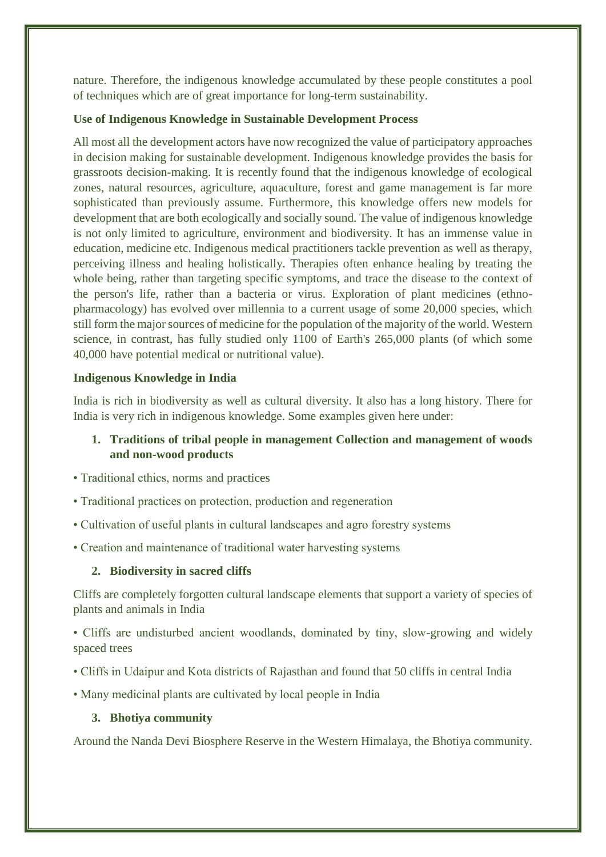nature. Therefore, the indigenous knowledge accumulated by these people constitutes a pool of techniques which are of great importance for long-term sustainability.

## **Use of Indigenous Knowledge in Sustainable Development Process**

All most all the development actors have now recognized the value of participatory approaches in decision making for sustainable development. Indigenous knowledge provides the basis for grassroots decision-making. It is recently found that the indigenous knowledge of ecological zones, natural resources, agriculture, aquaculture, forest and game management is far more sophisticated than previously assume. Furthermore, this knowledge offers new models for development that are both ecologically and socially sound. The value of indigenous knowledge is not only limited to agriculture, environment and biodiversity. It has an immense value in education, medicine etc. Indigenous medical practitioners tackle prevention as well as therapy, perceiving illness and healing holistically. Therapies often enhance healing by treating the whole being, rather than targeting specific symptoms, and trace the disease to the context of the person's life, rather than a bacteria or virus. Exploration of plant medicines (ethnopharmacology) has evolved over millennia to a current usage of some 20,000 species, which still form the major sources of medicine for the population of the majority of the world. Western science, in contrast, has fully studied only 1100 of Earth's 265,000 plants (of which some 40,000 have potential medical or nutritional value).

## **Indigenous Knowledge in India**

India is rich in biodiversity as well as cultural diversity. It also has a long history. There for India is very rich in indigenous knowledge. Some examples given here under:

# **1. Traditions of tribal people in management Collection and management of woods and non-wood products**

- Traditional ethics, norms and practices
- Traditional practices on protection, production and regeneration
- Cultivation of useful plants in cultural landscapes and agro forestry systems
- Creation and maintenance of traditional water harvesting systems

## **2. Biodiversity in sacred cliffs**

Cliffs are completely forgotten cultural landscape elements that support a variety of species of plants and animals in India

• Cliffs are undisturbed ancient woodlands, dominated by tiny, slow-growing and widely spaced trees

- Cliffs in Udaipur and Kota districts of Rajasthan and found that 50 cliffs in central India
- Many medicinal plants are cultivated by local people in India

# **3. Bhotiya community**

Around the Nanda Devi Biosphere Reserve in the Western Himalaya, the Bhotiya community.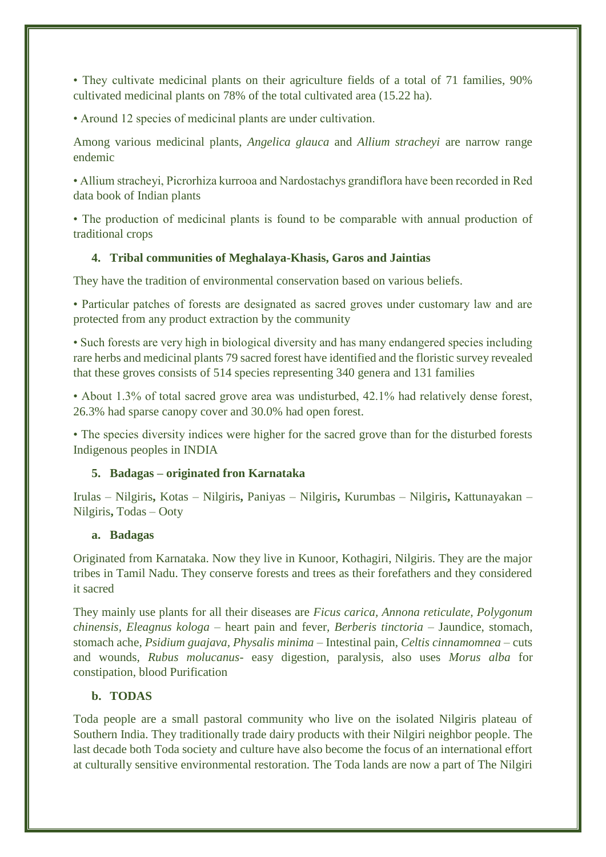• They cultivate medicinal plants on their agriculture fields of a total of 71 families, 90% cultivated medicinal plants on 78% of the total cultivated area (15.22 ha).

• Around 12 species of medicinal plants are under cultivation.

Among various medicinal plants, *Angelica glauca* and *Allium stracheyi* are narrow range endemic

• Allium stracheyi, Picrorhiza kurrooa and Nardostachys grandiflora have been recorded in Red data book of Indian plants

• The production of medicinal plants is found to be comparable with annual production of traditional crops

## **4. Tribal communities of Meghalaya-Khasis, Garos and Jaintias**

They have the tradition of environmental conservation based on various beliefs.

• Particular patches of forests are designated as sacred groves under customary law and are protected from any product extraction by the community

• Such forests are very high in biological diversity and has many endangered species including rare herbs and medicinal plants 79 sacred forest have identified and the floristic survey revealed that these groves consists of 514 species representing 340 genera and 131 families

• About 1.3% of total sacred grove area was undisturbed, 42.1% had relatively dense forest, 26.3% had sparse canopy cover and 30.0% had open forest.

• The species diversity indices were higher for the sacred grove than for the disturbed forests Indigenous peoples in INDIA

## **5. Badagas – originated fron Karnataka**

Irulas – Nilgiris**,** Kotas – Nilgiris**,** Paniyas – Nilgiris**,** Kurumbas – Nilgiris**,** Kattunayakan – Nilgiris**,** Todas – Ooty

## **a. Badagas**

Originated from Karnataka. Now they live in Kunoor, Kothagiri, Nilgiris. They are the major tribes in Tamil Nadu. They conserve forests and trees as their forefathers and they considered it sacred

They mainly use plants for all their diseases are *Ficus carica, Annona reticulate, Polygonum chinensis, Eleagnus kologa –* heart pain and fever*, Berberis tinctoria –* Jaundice, stomach, stomach ache*, Psidium guajava, Physalis minima –* Intestinal pain*, Celtis cinnamomnea –* cuts and wounds*, Rubus molucanus-* easy digestion, paralysis*,* also uses *Morus alba* for constipation, blood Purification

# **b. TODAS**

Toda people are a small pastoral community who live on the isolated Nilgiris plateau of Southern India. They traditionally trade dairy products with their Nilgiri neighbor people. The last decade both Toda society and culture have also become the focus of an international effort at culturally sensitive environmental restoration. The Toda lands are now a part of The Nilgiri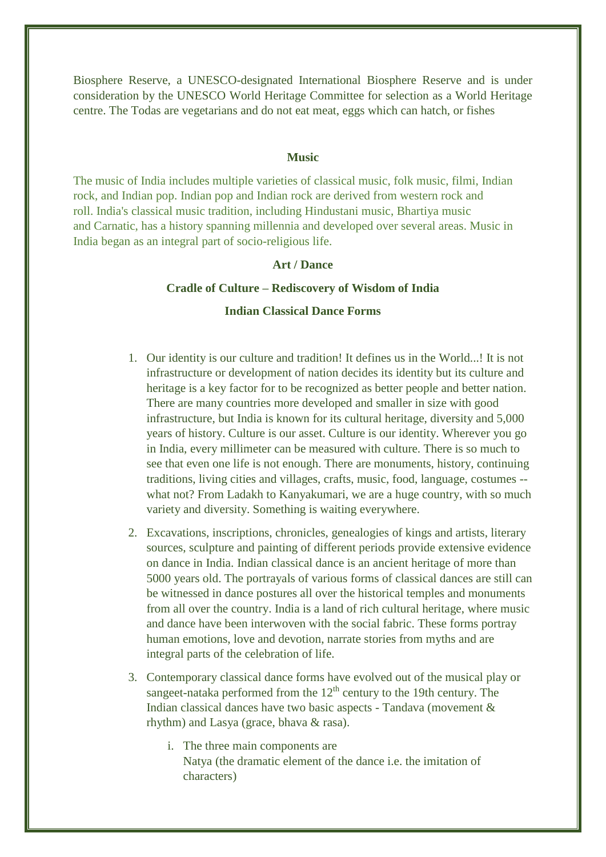Biosphere Reserve, a UNESCO-designated International Biosphere Reserve and is under consideration by the UNESCO World Heritage Committee for selection as a World Heritage centre. The Todas are vegetarians and do not eat meat, eggs which can hatch, or fishes

#### **Music**

The music of India includes multiple varieties of [classical music,](https://en.wikipedia.org/wiki/Indian_classical_music) [folk music,](https://en.wikipedia.org/wiki/Indian_folk_music) [filmi,](https://en.wikipedia.org/wiki/Filmi) [Indian](https://en.wikipedia.org/wiki/Indian_rock)  [rock,](https://en.wikipedia.org/wiki/Indian_rock) and [Indian pop.](https://en.wikipedia.org/wiki/Indian_pop) Indian pop and Indian rock are derived from western rock and roll. [India's](https://en.wikipedia.org/wiki/India) classical [music](https://en.wikipedia.org/wiki/Music) tradition, including [Hindustani music,](https://en.wikipedia.org/wiki/Hindustani_music) Bhartiya music and [Carnatic,](https://en.wikipedia.org/wiki/Carnatic_music) has a history spanning millennia and developed over several areas. Music in India began as an integral part of socio-religious life.

## **Art / Dance**

## **Cradle of Culture – Rediscovery of Wisdom of India**

## **Indian Classical Dance Forms**

- 1. Our identity is our culture and tradition! It defines us in the World...! It is not infrastructure or development of nation decides its identity but its culture and heritage is a key factor for to be recognized as better people and better nation. There are many countries more developed and smaller in size with good infrastructure, but India is known for its cultural heritage, diversity and 5,000 years of history. Culture is our asset. Culture is our identity. Wherever you go in India, every millimeter can be measured with culture. There is so much to see that even one life is not enough. There are monuments, history, continuing traditions, living cities and villages, crafts, music, food, language, costumes - what not? From Ladakh to Kanyakumari, we are a huge country, with so much variety and diversity. Something is waiting everywhere.
- 2. Excavations, inscriptions, chronicles, genealogies of kings and artists, literary sources, sculpture and painting of different periods provide extensive evidence on dance in India. Indian classical dance is an ancient heritage of more than 5000 years old. The portrayals of various forms of classical dances are still can be witnessed in dance postures all over the historical temples and monuments from all over the country. India is a land of rich cultural heritage, where music and dance have been interwoven with the social fabric. These forms portray human emotions, love and devotion, narrate stories from myths and are integral parts of the celebration of life.
- 3. Contemporary classical dance forms have evolved out of the musical play or sangeet-nataka performed from the  $12<sup>th</sup>$  century to the 19th century. The Indian classical dances have two basic aspects - Tandava (movement & rhythm) and Lasya (grace, bhava & rasa).
	- i. The three main components are Natya (the dramatic element of the dance i.e. the imitation of characters)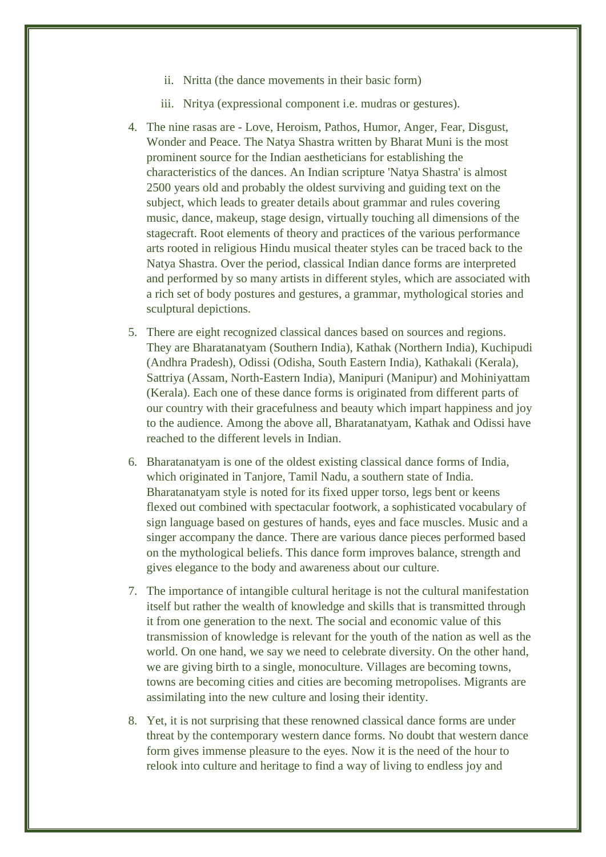- ii. Nritta (the dance movements in their basic form)
- iii. Nritya (expressional component i.e. mudras or gestures).
- 4. The nine rasas are Love, Heroism, Pathos, Humor, Anger, Fear, Disgust, Wonder and Peace. The Natya Shastra written by Bharat Muni is the most prominent source for the Indian aestheticians for establishing the characteristics of the dances. An Indian scripture 'Natya Shastra' is almost 2500 years old and probably the oldest surviving and guiding text on the subject, which leads to greater details about grammar and rules covering music, dance, makeup, stage design, virtually touching all dimensions of the stagecraft. Root elements of theory and practices of the various performance arts rooted in religious Hindu musical theater styles can be traced back to the Natya Shastra. Over the period, classical Indian dance forms are interpreted and performed by so many artists in different styles, which are associated with a rich set of body postures and gestures, a grammar, mythological stories and sculptural depictions.
- 5. There are eight recognized classical dances based on sources and regions. They are Bharatanatyam (Southern India), Kathak (Northern India), Kuchipudi (Andhra Pradesh), Odissi (Odisha, South Eastern India), Kathakali (Kerala), Sattriya (Assam, North-Eastern India), Manipuri (Manipur) and Mohiniyattam (Kerala). Each one of these dance forms is originated from different parts of our country with their gracefulness and beauty which impart happiness and joy to the audience. Among the above all, Bharatanatyam, Kathak and Odissi have reached to the different levels in Indian.
- 6. Bharatanatyam is one of the oldest existing classical dance forms of India, which originated in Tanjore, Tamil Nadu, a southern state of India. Bharatanatyam style is noted for its fixed upper torso, legs bent or keens flexed out combined with spectacular footwork, a sophisticated vocabulary of sign language based on gestures of hands, eyes and face muscles. Music and a singer accompany the dance. There are various dance pieces performed based on the mythological beliefs. This dance form improves balance, strength and gives elegance to the body and awareness about our culture.
- 7. The importance of intangible cultural heritage is not the cultural manifestation itself but rather the wealth of knowledge and skills that is transmitted through it from one generation to the next. The social and economic value of this transmission of knowledge is relevant for the youth of the nation as well as the world. On one hand, we say we need to celebrate diversity. On the other hand, we are giving birth to a single, monoculture. Villages are becoming towns, towns are becoming cities and cities are becoming metropolises. Migrants are assimilating into the new culture and losing their identity.
- 8. Yet, it is not surprising that these renowned classical dance forms are under threat by the contemporary western dance forms. No doubt that western dance form gives immense pleasure to the eyes. Now it is the need of the hour to relook into culture and heritage to find a way of living to endless joy and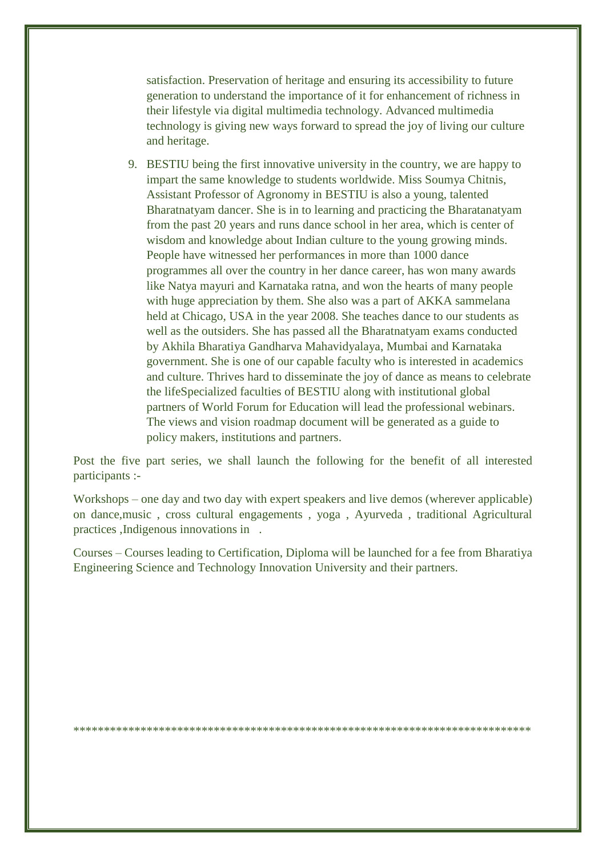satisfaction. Preservation of heritage and ensuring its accessibility to future generation to understand the importance of it for enhancement of richness in their lifestyle via digital multimedia technology. Advanced multimedia technology is giving new ways forward to spread the joy of living our culture and heritage.

9. BESTIU being the first innovative university in the country, we are happy to impart the same knowledge to students worldwide. Miss Soumya Chitnis, Assistant Professor of Agronomy in BESTIU is also a young, talented Bharatnatyam dancer. She is in to learning and practicing the Bharatanatyam from the past 20 years and runs dance school in her area, which is center of wisdom and knowledge about Indian culture to the young growing minds. People have witnessed her performances in more than 1000 dance programmes all over the country in her dance career, has won many awards like Natya mayuri and Karnataka ratna, and won the hearts of many people with huge appreciation by them. She also was a part of AKKA sammelana held at Chicago, USA in the year 2008. She teaches dance to our students as well as the outsiders. She has passed all the Bharatnatyam exams conducted by Akhila Bharatiya Gandharva Mahavidyalaya, Mumbai and Karnataka government. She is one of our capable faculty who is interested in academics and culture. Thrives hard to disseminate the joy of dance as means to celebrate the lifeSpecialized faculties of BESTIU along with institutional global partners of World Forum for Education will lead the professional webinars. The views and vision roadmap document will be generated as a guide to policy makers, institutions and partners.

Post the five part series, we shall launch the following for the benefit of all interested participants :-

Workshops – one day and two day with expert speakers and live demos (wherever applicable) on dance,music , cross cultural engagements , yoga , Ayurveda , traditional Agricultural practices ,Indigenous innovations in .

Courses – Courses leading to Certification, Diploma will be launched for a fee from Bharatiya Engineering Science and Technology Innovation University and their partners.

\*\*\*\*\*\*\*\*\*\*\*\*\*\*\*\*\*\*\*\*\*\*\*\*\*\*\*\*\*\*\*\*\*\*\*\*\*\*\*\*\*\*\*\*\*\*\*\*\*\*\*\*\*\*\*\*\*\*\*\*\*\*\*\*\*\*\*\*\*\*\*\*\*\*\*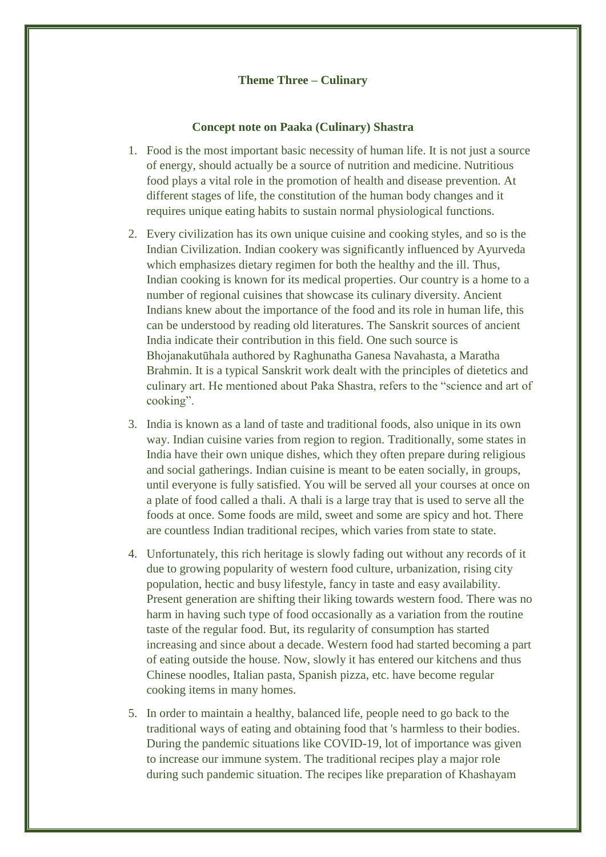## **Theme Three – Culinary**

## **Concept note on Paaka (Culinary) Shastra**

- 1. Food is the most important basic necessity of human life. It is not just a source of energy, should actually be a source of nutrition and medicine. Nutritious food plays a vital role in the promotion of health and disease prevention. At different stages of life, the constitution of the human body changes and it requires unique eating habits to sustain normal physiological functions.
- 2. Every civilization has its own unique cuisine and cooking styles, and so is the Indian Civilization. Indian cookery was significantly influenced by Ayurveda which emphasizes dietary regimen for both the healthy and the ill. Thus, Indian cooking is known for its medical properties. Our country is a home to a number of regional cuisines that showcase its culinary diversity. Ancient Indians knew about the importance of the food and its role in human life, this can be understood by reading old literatures. The Sanskrit sources of ancient India indicate their contribution in this field. One such source is Bhojanakutūhala authored by Raghunatha Ganesa Navahasta, a Maratha Brahmin. It is a typical Sanskrit work dealt with the principles of dietetics and culinary art. He mentioned about Paka Shastra, refers to the "science and art of cooking".
- 3. India is known as a land of taste and traditional foods, also unique in its own way. Indian cuisine varies from region to region. Traditionally, some states in India have their own unique dishes, which they often prepare during religious and social gatherings. Indian cuisine is meant to be eaten socially, in groups, until everyone is fully satisfied. You will be served all your courses at once on a plate of food called a thali. A thali is a large tray that is used to serve all the foods at once. Some foods are mild, sweet and some are spicy and hot. There are countless Indian traditional recipes, which varies from state to state.
- 4. Unfortunately, this rich heritage is slowly fading out without any records of it due to growing popularity of western food culture, urbanization, rising city population, hectic and busy lifestyle, fancy in taste and easy availability. Present generation are shifting their liking towards western food. There was no harm in having such type of food occasionally as a variation from the routine taste of the regular food. But, its regularity of consumption has started increasing and since about a decade. Western food had started becoming a part of eating outside the house. Now, slowly it has entered our kitchens and thus Chinese noodles, Italian pasta, Spanish pizza, etc. have become regular cooking items in many homes.
- 5. In order to maintain a healthy, balanced life, people need to go back to the traditional ways of eating and obtaining food that 's harmless to their bodies. During the pandemic situations like COVID-19, lot of importance was given to increase our immune system. The traditional recipes play a major role during such pandemic situation. The recipes like preparation of Khashayam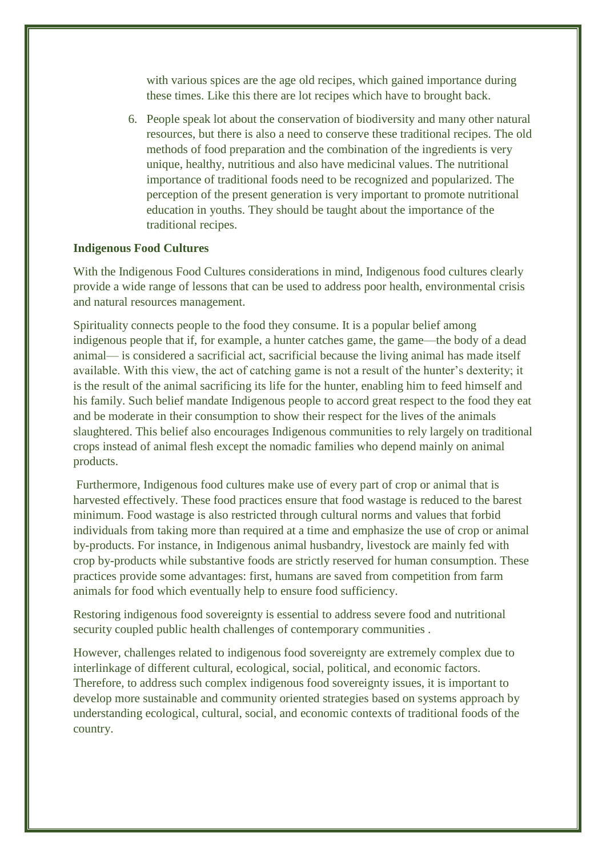with various spices are the age old recipes, which gained importance during these times. Like this there are lot recipes which have to brought back.

6. People speak lot about the conservation of biodiversity and many other natural resources, but there is also a need to conserve these traditional recipes. The old methods of food preparation and the combination of the ingredients is very unique, healthy, nutritious and also have medicinal values. The nutritional importance of traditional foods need to be recognized and popularized. The perception of the present generation is very important to promote nutritional education in youths. They should be taught about the importance of the traditional recipes.

#### **Indigenous Food Cultures**

With the Indigenous Food Cultures considerations in mind, Indigenous food cultures clearly provide a wide range of lessons that can be used to address poor health, environmental crisis and natural resources management.

Spirituality connects people to the food they consume. It is a popular belief among indigenous people that if, for example, a hunter catches game, the game—the body of a dead animal— is considered a sacrificial act, sacrificial because the living animal has made itself available. With this view, the act of catching game is not a result of the hunter's dexterity; it is the result of the animal sacrificing its life for the hunter, enabling him to feed himself and his family. Such belief mandate Indigenous people to accord great respect to the food they eat and be moderate in their consumption to show their respect for the lives of the animals slaughtered. This belief also encourages Indigenous communities to rely largely on traditional crops instead of animal flesh except the nomadic families who depend mainly on animal products.

Furthermore, Indigenous food cultures make use of every part of crop or animal that is harvested effectively. These food practices ensure that food wastage is reduced to the barest minimum. Food wastage is also restricted through cultural norms and values that forbid individuals from taking more than required at a time and emphasize the use of crop or animal by-products. For instance, in Indigenous animal husbandry, livestock are mainly fed with crop by-products while substantive foods are strictly reserved for human consumption. These practices provide some advantages: first, humans are saved from competition from farm animals for food which eventually help to ensure food sufficiency.

Restoring indigenous food sovereignty is essential to address severe food and nutritional security coupled public health challenges of contemporary communities .

However, challenges related to indigenous food sovereignty are extremely complex due to interlinkage of different cultural, ecological, social, political, and economic factors. Therefore, to address such complex indigenous food sovereignty issues, it is important to develop more sustainable and community oriented strategies based on systems approach by understanding ecological, cultural, social, and economic contexts of traditional foods of the country.